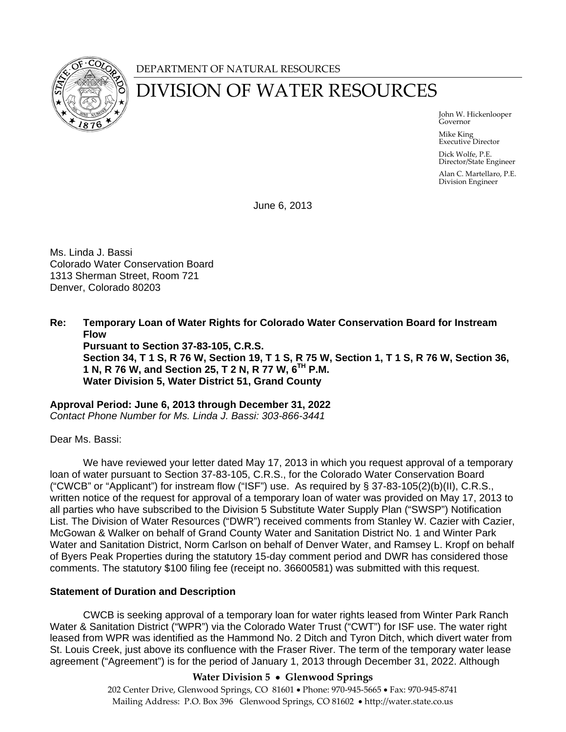

## DEPARTMENT OF NATURAL RESOURCES

# DIVISION OF WATER RESOURCES

 John W. Hickenlooper Governor

> Mike King Executive Director

Dick Wolfe, P.E. Director/State Engineer

Alan C. Martellaro, P.E. Division Engineer

June 6, 2013

Ms. Linda J. Bassi Colorado Water Conservation Board 1313 Sherman Street, Room 721 Denver, Colorado 80203

**Re: Temporary Loan of Water Rights for Colorado Water Conservation Board for Instream Flow Pursuant to Section 37-83-105, C.R.S. Section 34, T 1 S, R 76 W, Section 19, T 1 S, R 75 W, Section 1, T 1 S, R 76 W, Section 36, 1 N, R 76 W, and Section 25, T 2 N, R 77 W, 6TH P.M. Water Division 5, Water District 51, Grand County** 

**Approval Period: June 6, 2013 through December 31, 2022**  *Contact Phone Number for Ms. Linda J. Bassi: 303-866-3441* 

Dear Ms. Bassi:

We have reviewed your letter dated May 17, 2013 in which you request approval of a temporary loan of water pursuant to Section 37-83-105, C.R.S., for the Colorado Water Conservation Board ("CWCB" or "Applicant") for instream flow ("ISF") use. As required by § 37-83-105(2)(b)(II), C.R.S., written notice of the request for approval of a temporary loan of water was provided on May 17, 2013 to all parties who have subscribed to the Division 5 Substitute Water Supply Plan ("SWSP") Notification List. The Division of Water Resources ("DWR") received comments from Stanley W. Cazier with Cazier, McGowan & Walker on behalf of Grand County Water and Sanitation District No. 1 and Winter Park Water and Sanitation District, Norm Carlson on behalf of Denver Water, and Ramsey L. Kropf on behalf of Byers Peak Properties during the statutory 15-day comment period and DWR has considered those comments. The statutory \$100 filing fee (receipt no. 36600581) was submitted with this request.

## **Statement of Duration and Description**

CWCB is seeking approval of a temporary loan for water rights leased from Winter Park Ranch Water & Sanitation District ("WPR") via the Colorado Water Trust ("CWT") for ISF use. The water right leased from WPR was identified as the Hammond No. 2 Ditch and Tyron Ditch, which divert water from St. Louis Creek, just above its confluence with the Fraser River. The term of the temporary water lease agreement ("Agreement") is for the period of January 1, 2013 through December 31, 2022. Although

## **Water Division 5 Glenwood Springs**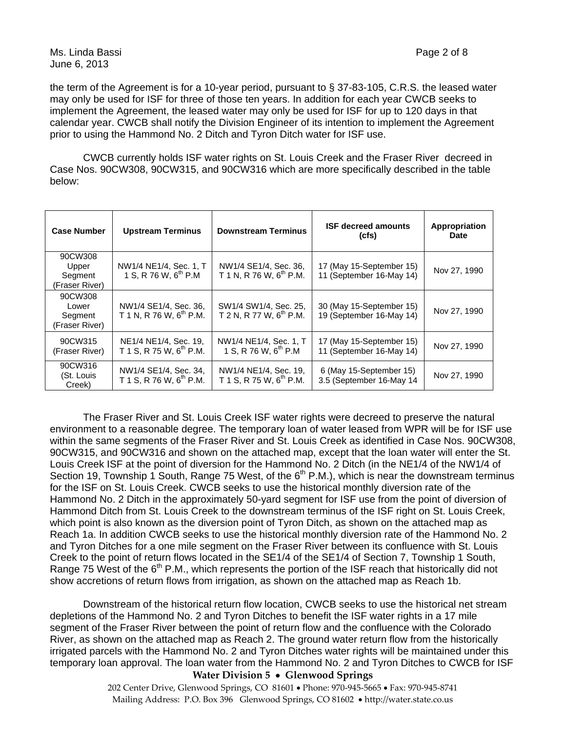the term of the Agreement is for a 10-year period, pursuant to § 37-83-105, C.R.S. the leased water may only be used for ISF for three of those ten years. In addition for each year CWCB seeks to implement the Agreement, the leased water may only be used for ISF for up to 120 days in that calendar year. CWCB shall notify the Division Engineer of its intention to implement the Agreement prior to using the Hammond No. 2 Ditch and Tyron Ditch water for ISF use.

CWCB currently holds ISF water rights on St. Louis Creek and the Fraser River decreed in Case Nos. 90CW308, 90CW315, and 90CW316 which are more specifically described in the table below:

| <b>Case Number</b>                            | <b>Upstream Terminus</b>                                     | <b>Downstream Terminus</b>                                   | <b>ISF decreed amounts</b><br>(cfs)                  | Appropriation<br><b>Date</b> |
|-----------------------------------------------|--------------------------------------------------------------|--------------------------------------------------------------|------------------------------------------------------|------------------------------|
| 90CW308<br>Upper<br>Segment<br>(Fraser River) | NW1/4 NE1/4, Sec. 1, T<br>1 S, R 76 W, $6^{th}$ P.M          | NW1/4 SE1/4, Sec. 36,<br>T 1 N, R 76 W, $6^{th}$ P.M.        | 17 (May 15-September 15)<br>11 (September 16-May 14) | Nov 27, 1990                 |
| 90CW308<br>Lower<br>Segment<br>(Fraser River) | NW1/4 SE1/4, Sec. 36,<br>T 1 N, R 76 W, 6 <sup>th</sup> P.M. | SW1/4 SW1/4, Sec. 25,<br>T 2 N, R 77 W, 6 <sup>th</sup> P.M. | 30 (May 15-September 15)<br>19 (September 16-May 14) | Nov 27, 1990                 |
| 90CW315<br>(Fraser River)                     | NE1/4 NE1/4, Sec. 19,<br>T 1 S, R 75 W, 6 <sup>th</sup> P.M. | NW1/4 NE1/4, Sec. 1, T<br>1 S, R 76 W, $6^{th}$ P.M          | 17 (May 15-September 15)<br>11 (September 16-May 14) | Nov 27, 1990                 |
| 90CW316<br>(St. Louis<br>Creek)               | NW1/4 SE1/4, Sec. 34,<br>T 1 S, R 76 W, 6 <sup>th</sup> P.M. | NW1/4 NE1/4, Sec. 19,<br>T 1 S, R 75 W, $6^{th}$ P.M.        | 6 (May 15-September 15)<br>3.5 (September 16-May 14  | Nov 27, 1990                 |

The Fraser River and St. Louis Creek ISF water rights were decreed to preserve the natural environment to a reasonable degree. The temporary loan of water leased from WPR will be for ISF use within the same segments of the Fraser River and St. Louis Creek as identified in Case Nos. 90CW308, 90CW315, and 90CW316 and shown on the attached map, except that the loan water will enter the St. Louis Creek ISF at the point of diversion for the Hammond No. 2 Ditch (in the NE1/4 of the NW1/4 of Section 19, Township 1 South, Range 75 West, of the  $6<sup>th</sup>$  P.M.), which is near the downstream terminus for the ISF on St. Louis Creek. CWCB seeks to use the historical monthly diversion rate of the Hammond No. 2 Ditch in the approximately 50-yard segment for ISF use from the point of diversion of Hammond Ditch from St. Louis Creek to the downstream terminus of the ISF right on St. Louis Creek, which point is also known as the diversion point of Tyron Ditch, as shown on the attached map as Reach 1a. In addition CWCB seeks to use the historical monthly diversion rate of the Hammond No. 2 and Tyron Ditches for a one mile segment on the Fraser River between its confluence with St. Louis Creek to the point of return flows located in the SE1/4 of the SE1/4 of Section 7, Township 1 South, Range 75 West of the  $6<sup>th</sup>$  P.M., which represents the portion of the ISF reach that historically did not show accretions of return flows from irrigation, as shown on the attached map as Reach 1b.

Downstream of the historical return flow location, CWCB seeks to use the historical net stream depletions of the Hammond No. 2 and Tyron Ditches to benefit the ISF water rights in a 17 mile segment of the Fraser River between the point of return flow and the confluence with the Colorado River, as shown on the attached map as Reach 2. The ground water return flow from the historically irrigated parcels with the Hammond No. 2 and Tyron Ditches water rights will be maintained under this temporary loan approval. The loan water from the Hammond No. 2 and Tyron Ditches to CWCB for ISF

#### **Water Division 5 Glenwood Springs**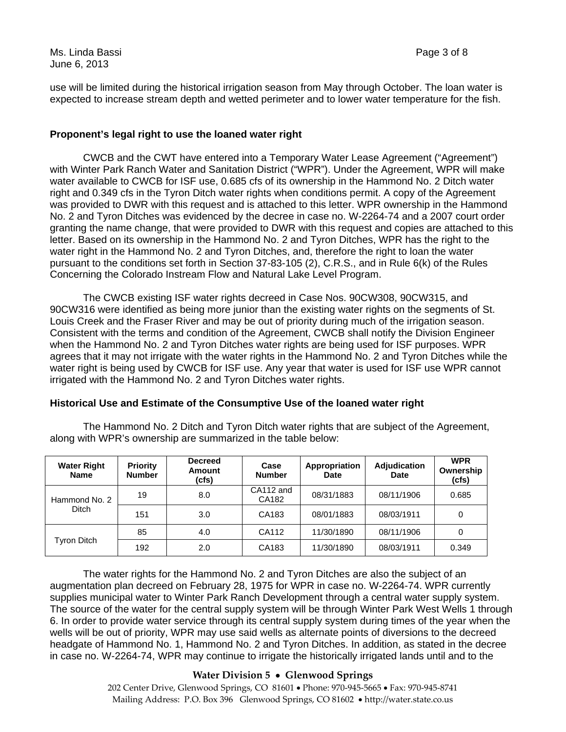Ms. Linda Bassi Page 3 of 8 June 6, 2013

use will be limited during the historical irrigation season from May through October. The loan water is expected to increase stream depth and wetted perimeter and to lower water temperature for the fish.

#### **Proponent's legal right to use the loaned water right**

CWCB and the CWT have entered into a Temporary Water Lease Agreement ("Agreement") with Winter Park Ranch Water and Sanitation District ("WPR"). Under the Agreement, WPR will make water available to CWCB for ISF use, 0.685 cfs of its ownership in the Hammond No. 2 Ditch water right and 0.349 cfs in the Tyron Ditch water rights when conditions permit. A copy of the Agreement was provided to DWR with this request and is attached to this letter. WPR ownership in the Hammond No. 2 and Tyron Ditches was evidenced by the decree in case no. W-2264-74 and a 2007 court order granting the name change, that were provided to DWR with this request and copies are attached to this letter. Based on its ownership in the Hammond No. 2 and Tyron Ditches, WPR has the right to the water right in the Hammond No. 2 and Tyron Ditches, and, therefore the right to loan the water pursuant to the conditions set forth in Section 37-83-105 (2), C.R.S., and in Rule 6(k) of the Rules Concerning the Colorado Instream Flow and Natural Lake Level Program.

The CWCB existing ISF water rights decreed in Case Nos. 90CW308, 90CW315, and 90CW316 were identified as being more junior than the existing water rights on the segments of St. Louis Creek and the Fraser River and may be out of priority during much of the irrigation season. Consistent with the terms and condition of the Agreement, CWCB shall notify the Division Engineer when the Hammond No. 2 and Tyron Ditches water rights are being used for ISF purposes. WPR agrees that it may not irrigate with the water rights in the Hammond No. 2 and Tyron Ditches while the water right is being used by CWCB for ISF use. Any year that water is used for ISF use WPR cannot irrigated with the Hammond No. 2 and Tyron Ditches water rights.

## **Historical Use and Estimate of the Consumptive Use of the loaned water right**

The Hammond No. 2 Ditch and Tyron Ditch water rights that are subject of the Agreement, along with WPR's ownership are summarized in the table below:

| <b>Water Right</b><br><b>Name</b> | <b>Priority</b><br><b>Number</b> | <b>Decreed</b><br>Amount<br>(cfs) | Case<br><b>Number</b> | Appropriation<br>Date | <b>Adjudication</b><br>Date | <b>WPR</b><br>Ownership<br>(cfs) |
|-----------------------------------|----------------------------------|-----------------------------------|-----------------------|-----------------------|-----------------------------|----------------------------------|
| Hammond No. 2<br>Ditch            | 19                               | 8.0                               | CA112 and<br>CA182    | 08/31/1883            | 08/11/1906                  | 0.685                            |
|                                   | 151                              | 3.0                               | CA183                 | 08/01/1883            | 08/03/1911                  | 0                                |
| Tyron Ditch                       | 85                               | 4.0                               | CA112                 | 11/30/1890            | 08/11/1906                  | 0                                |
|                                   | 192                              | 2.0                               | CA183                 | 11/30/1890            | 08/03/1911                  | 0.349                            |

 The water rights for the Hammond No. 2 and Tyron Ditches are also the subject of an augmentation plan decreed on February 28, 1975 for WPR in case no. W-2264-74. WPR currently supplies municipal water to Winter Park Ranch Development through a central water supply system. The source of the water for the central supply system will be through Winter Park West Wells 1 through 6. In order to provide water service through its central supply system during times of the year when the wells will be out of priority, WPR may use said wells as alternate points of diversions to the decreed headgate of Hammond No. 1, Hammond No. 2 and Tyron Ditches. In addition, as stated in the decree in case no. W-2264-74, WPR may continue to irrigate the historically irrigated lands until and to the

## **Water Division 5 Glenwood Springs**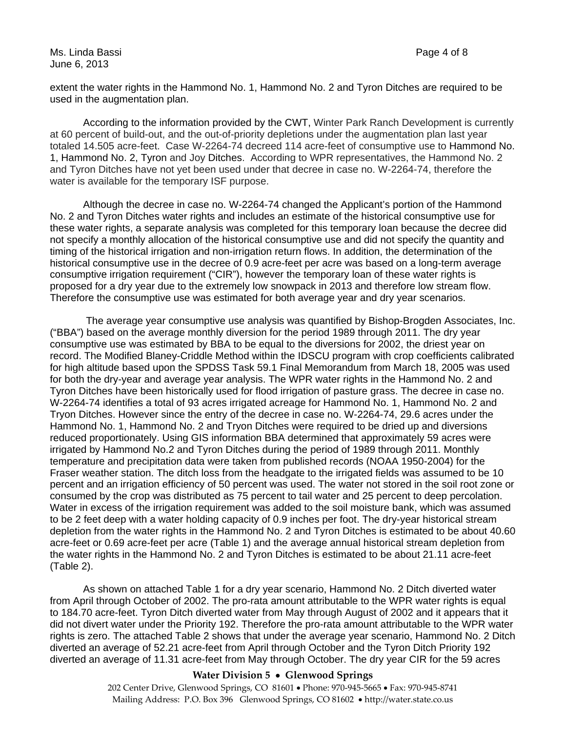extent the water rights in the Hammond No. 1, Hammond No. 2 and Tyron Ditches are required to be used in the augmentation plan.

According to the information provided by the CWT, Winter Park Ranch Development is currently at 60 percent of build-out, and the out-of-priority depletions under the augmentation plan last year totaled 14.505 acre-feet. Case W-2264-74 decreed 114 acre-feet of consumptive use to Hammond No. 1, Hammond No. 2, Tyron and Joy Ditches. According to WPR representatives, the Hammond No. 2 and Tyron Ditches have not yet been used under that decree in case no. W-2264-74, therefore the water is available for the temporary ISF purpose.

Although the decree in case no. W-2264-74 changed the Applicant's portion of the Hammond No. 2 and Tyron Ditches water rights and includes an estimate of the historical consumptive use for these water rights, a separate analysis was completed for this temporary loan because the decree did not specify a monthly allocation of the historical consumptive use and did not specify the quantity and timing of the historical irrigation and non-irrigation return flows. In addition, the determination of the historical consumptive use in the decree of 0.9 acre-feet per acre was based on a long-term average consumptive irrigation requirement ("CIR"), however the temporary loan of these water rights is proposed for a dry year due to the extremely low snowpack in 2013 and therefore low stream flow. Therefore the consumptive use was estimated for both average year and dry year scenarios.

 The average year consumptive use analysis was quantified by Bishop-Brogden Associates, Inc. ("BBA") based on the average monthly diversion for the period 1989 through 2011. The dry year consumptive use was estimated by BBA to be equal to the diversions for 2002, the driest year on record. The Modified Blaney-Criddle Method within the IDSCU program with crop coefficients calibrated for high altitude based upon the SPDSS Task 59.1 Final Memorandum from March 18, 2005 was used for both the dry-year and average year analysis. The WPR water rights in the Hammond No. 2 and Tyron Ditches have been historically used for flood irrigation of pasture grass. The decree in case no. W-2264-74 identifies a total of 93 acres irrigated acreage for Hammond No. 1, Hammond No. 2 and Tryon Ditches. However since the entry of the decree in case no. W-2264-74, 29.6 acres under the Hammond No. 1, Hammond No. 2 and Tryon Ditches were required to be dried up and diversions reduced proportionately. Using GIS information BBA determined that approximately 59 acres were irrigated by Hammond No.2 and Tyron Ditches during the period of 1989 through 2011. Monthly temperature and precipitation data were taken from published records (NOAA 1950-2004) for the Fraser weather station. The ditch loss from the headgate to the irrigated fields was assumed to be 10 percent and an irrigation efficiency of 50 percent was used. The water not stored in the soil root zone or consumed by the crop was distributed as 75 percent to tail water and 25 percent to deep percolation. Water in excess of the irrigation requirement was added to the soil moisture bank, which was assumed to be 2 feet deep with a water holding capacity of 0.9 inches per foot. The dry-year historical stream depletion from the water rights in the Hammond No. 2 and Tyron Ditches is estimated to be about 40.60 acre-feet or 0.69 acre-feet per acre (Table 1) and the average annual historical stream depletion from the water rights in the Hammond No. 2 and Tyron Ditches is estimated to be about 21.11 acre-feet (Table 2).

As shown on attached Table 1 for a dry year scenario, Hammond No. 2 Ditch diverted water from April through October of 2002. The pro-rata amount attributable to the WPR water rights is equal to 184.70 acre-feet. Tyron Ditch diverted water from May through August of 2002 and it appears that it did not divert water under the Priority 192. Therefore the pro-rata amount attributable to the WPR water rights is zero. The attached Table 2 shows that under the average year scenario, Hammond No. 2 Ditch diverted an average of 52.21 acre-feet from April through October and the Tyron Ditch Priority 192 diverted an average of 11.31 acre-feet from May through October. The dry year CIR for the 59 acres

#### **Water Division 5 Glenwood Springs**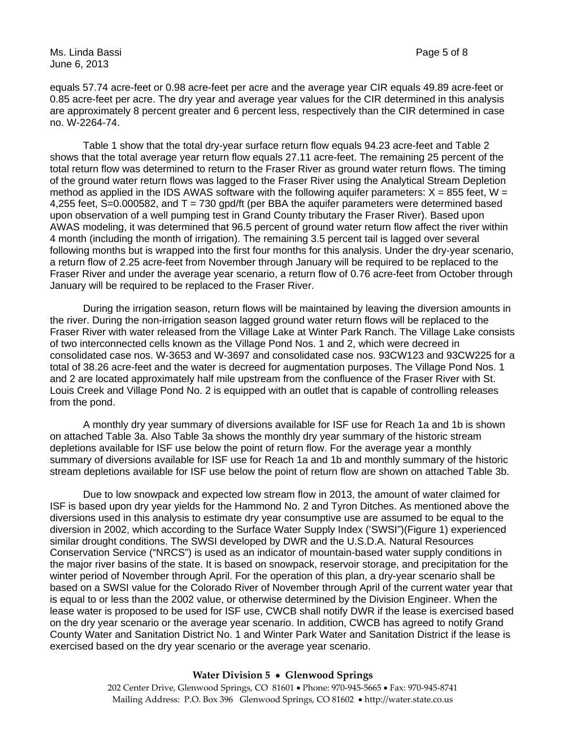Ms. Linda Bassi Page 5 of 8 June 6, 2013

equals 57.74 acre-feet or 0.98 acre-feet per acre and the average year CIR equals 49.89 acre-feet or 0.85 acre-feet per acre. The dry year and average year values for the CIR determined in this analysis are approximately 8 percent greater and 6 percent less, respectively than the CIR determined in case no. W-2264-74.

Table 1 show that the total dry-year surface return flow equals 94.23 acre-feet and Table 2 shows that the total average year return flow equals 27.11 acre-feet. The remaining 25 percent of the total return flow was determined to return to the Fraser River as ground water return flows. The timing of the ground water return flows was lagged to the Fraser River using the Analytical Stream Depletion method as applied in the IDS AWAS software with the following aquifer parameters:  $X = 855$  feet, W = 4,255 feet, S=0.000582, and  $T = 730$  gpd/ft (per BBA the aquifer parameters were determined based upon observation of a well pumping test in Grand County tributary the Fraser River). Based upon AWAS modeling, it was determined that 96.5 percent of ground water return flow affect the river within 4 month (including the month of irrigation). The remaining 3.5 percent tail is lagged over several following months but is wrapped into the first four months for this analysis. Under the dry-year scenario, a return flow of 2.25 acre-feet from November through January will be required to be replaced to the Fraser River and under the average year scenario, a return flow of 0.76 acre-feet from October through January will be required to be replaced to the Fraser River.

During the irrigation season, return flows will be maintained by leaving the diversion amounts in the river. During the non-irrigation season lagged ground water return flows will be replaced to the Fraser River with water released from the Village Lake at Winter Park Ranch. The Village Lake consists of two interconnected cells known as the Village Pond Nos. 1 and 2, which were decreed in consolidated case nos. W-3653 and W-3697 and consolidated case nos. 93CW123 and 93CW225 for a total of 38.26 acre-feet and the water is decreed for augmentation purposes. The Village Pond Nos. 1 and 2 are located approximately half mile upstream from the confluence of the Fraser River with St. Louis Creek and Village Pond No. 2 is equipped with an outlet that is capable of controlling releases from the pond.

A monthly dry year summary of diversions available for ISF use for Reach 1a and 1b is shown on attached Table 3a. Also Table 3a shows the monthly dry year summary of the historic stream depletions available for ISF use below the point of return flow. For the average year a monthly summary of diversions available for ISF use for Reach 1a and 1b and monthly summary of the historic stream depletions available for ISF use below the point of return flow are shown on attached Table 3b.

Due to low snowpack and expected low stream flow in 2013, the amount of water claimed for ISF is based upon dry year yields for the Hammond No. 2 and Tyron Ditches. As mentioned above the diversions used in this analysis to estimate dry year consumptive use are assumed to be equal to the diversion in 2002, which according to the Surface Water Supply Index ('SWSI")(Figure 1) experienced similar drought conditions. The SWSI developed by DWR and the U.S.D.A. Natural Resources Conservation Service ("NRCS") is used as an indicator of mountain-based water supply conditions in the major river basins of the state. It is based on snowpack, reservoir storage, and precipitation for the winter period of November through April. For the operation of this plan, a dry-year scenario shall be based on a SWSI value for the Colorado River of November through April of the current water year that is equal to or less than the 2002 value, or otherwise determined by the Division Engineer. When the lease water is proposed to be used for ISF use, CWCB shall notify DWR if the lease is exercised based on the dry year scenario or the average year scenario. In addition, CWCB has agreed to notify Grand County Water and Sanitation District No. 1 and Winter Park Water and Sanitation District if the lease is exercised based on the dry year scenario or the average year scenario.

#### **Water Division 5 Glenwood Springs**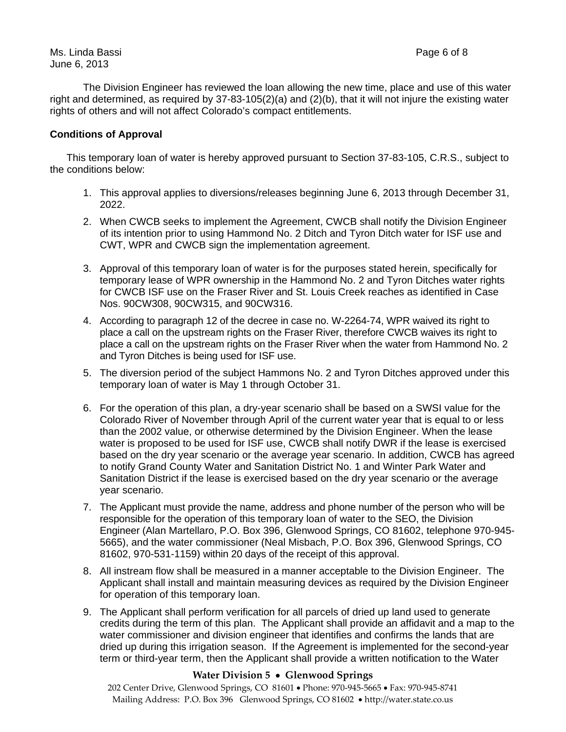The Division Engineer has reviewed the loan allowing the new time, place and use of this water right and determined, as required by 37-83-105(2)(a) and (2)(b), that it will not injure the existing water rights of others and will not affect Colorado's compact entitlements.

#### **Conditions of Approval**

This temporary loan of water is hereby approved pursuant to Section 37-83-105, C.R.S., subject to the conditions below:

- 1. This approval applies to diversions/releases beginning June 6, 2013 through December 31, 2022.
- 2. When CWCB seeks to implement the Agreement, CWCB shall notify the Division Engineer of its intention prior to using Hammond No. 2 Ditch and Tyron Ditch water for ISF use and CWT, WPR and CWCB sign the implementation agreement.
- 3. Approval of this temporary loan of water is for the purposes stated herein, specifically for temporary lease of WPR ownership in the Hammond No. 2 and Tyron Ditches water rights for CWCB ISF use on the Fraser River and St. Louis Creek reaches as identified in Case Nos. 90CW308, 90CW315, and 90CW316.
- 4. According to paragraph 12 of the decree in case no. W-2264-74, WPR waived its right to place a call on the upstream rights on the Fraser River, therefore CWCB waives its right to place a call on the upstream rights on the Fraser River when the water from Hammond No. 2 and Tyron Ditches is being used for ISF use.
- 5. The diversion period of the subject Hammons No. 2 and Tyron Ditches approved under this temporary loan of water is May 1 through October 31.
- 6. For the operation of this plan, a dry-year scenario shall be based on a SWSI value for the Colorado River of November through April of the current water year that is equal to or less than the 2002 value, or otherwise determined by the Division Engineer. When the lease water is proposed to be used for ISF use, CWCB shall notify DWR if the lease is exercised based on the dry year scenario or the average year scenario. In addition, CWCB has agreed to notify Grand County Water and Sanitation District No. 1 and Winter Park Water and Sanitation District if the lease is exercised based on the dry year scenario or the average year scenario.
- 7. The Applicant must provide the name, address and phone number of the person who will be responsible for the operation of this temporary loan of water to the SEO, the Division Engineer (Alan Martellaro, P.O. Box 396, Glenwood Springs, CO 81602, telephone 970-945- 5665), and the water commissioner (Neal Misbach, P.O. Box 396, Glenwood Springs, CO 81602, 970-531-1159) within 20 days of the receipt of this approval.
- 8. All instream flow shall be measured in a manner acceptable to the Division Engineer. The Applicant shall install and maintain measuring devices as required by the Division Engineer for operation of this temporary loan.
- 9. The Applicant shall perform verification for all parcels of dried up land used to generate credits during the term of this plan. The Applicant shall provide an affidavit and a map to the water commissioner and division engineer that identifies and confirms the lands that are dried up during this irrigation season. If the Agreement is implemented for the second-year term or third-year term, then the Applicant shall provide a written notification to the Water

### **Water Division 5 Glenwood Springs**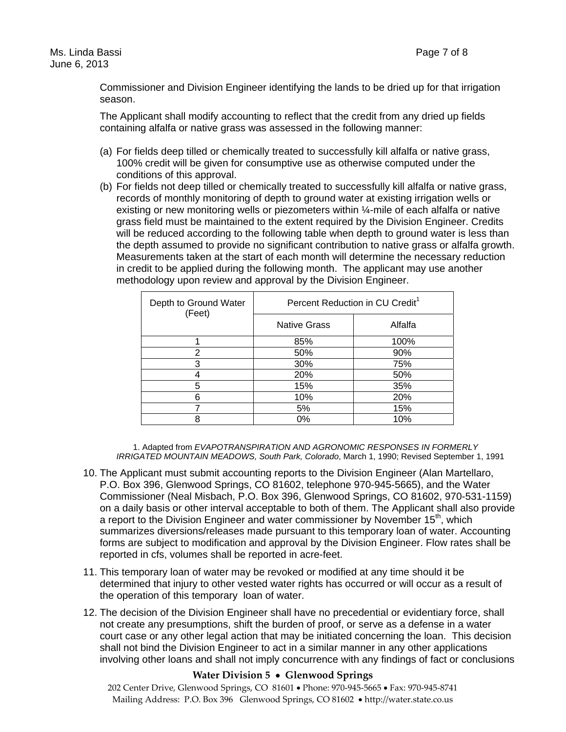Commissioner and Division Engineer identifying the lands to be dried up for that irrigation season.

The Applicant shall modify accounting to reflect that the credit from any dried up fields containing alfalfa or native grass was assessed in the following manner:

- (a) For fields deep tilled or chemically treated to successfully kill alfalfa or native grass, 100% credit will be given for consumptive use as otherwise computed under the conditions of this approval.
- (b) For fields not deep tilled or chemically treated to successfully kill alfalfa or native grass, records of monthly monitoring of depth to ground water at existing irrigation wells or existing or new monitoring wells or piezometers within ¼-mile of each alfalfa or native grass field must be maintained to the extent required by the Division Engineer. Credits will be reduced according to the following table when depth to ground water is less than the depth assumed to provide no significant contribution to native grass or alfalfa growth. Measurements taken at the start of each month will determine the necessary reduction in credit to be applied during the following month. The applicant may use another methodology upon review and approval by the Division Engineer.

| Depth to Ground Water<br>(Feet) | Percent Reduction in CU Credit <sup>1</sup> |         |  |
|---------------------------------|---------------------------------------------|---------|--|
|                                 | <b>Native Grass</b>                         | Alfalfa |  |
|                                 | 85%                                         | 100%    |  |
| 2                               | 50%                                         | 90%     |  |
| 3                               | 30%                                         | 75%     |  |
|                                 | 20%                                         | 50%     |  |
| 5                               | 15%                                         | 35%     |  |
| 6                               | 10%                                         | 20%     |  |
|                                 | 5%                                          | 15%     |  |
| ႙                               | 0%                                          | 10%     |  |

1. Adapted from *EVAPOTRANSPIRATION AND AGRONOMIC RESPONSES IN FORMERLY IRRIGATED MOUNTAIN MEADOWS, South Park, Colorado*, March 1, 1990; Revised September 1, 1991

- 10. The Applicant must submit accounting reports to the Division Engineer (Alan Martellaro, P.O. Box 396, Glenwood Springs, CO 81602, telephone 970-945-5665), and the Water Commissioner (Neal Misbach, P.O. Box 396, Glenwood Springs, CO 81602, 970-531-1159) on a daily basis or other interval acceptable to both of them. The Applicant shall also provide a report to the Division Engineer and water commissioner by November  $15<sup>th</sup>$ , which summarizes diversions/releases made pursuant to this temporary loan of water. Accounting forms are subject to modification and approval by the Division Engineer. Flow rates shall be reported in cfs, volumes shall be reported in acre-feet.
- 11. This temporary loan of water may be revoked or modified at any time should it be determined that injury to other vested water rights has occurred or will occur as a result of the operation of this temporary loan of water.
- 12. The decision of the Division Engineer shall have no precedential or evidentiary force, shall not create any presumptions, shift the burden of proof, or serve as a defense in a water court case or any other legal action that may be initiated concerning the loan. This decision shall not bind the Division Engineer to act in a similar manner in any other applications involving other loans and shall not imply concurrence with any findings of fact or conclusions

#### **Water Division 5 Glenwood Springs**